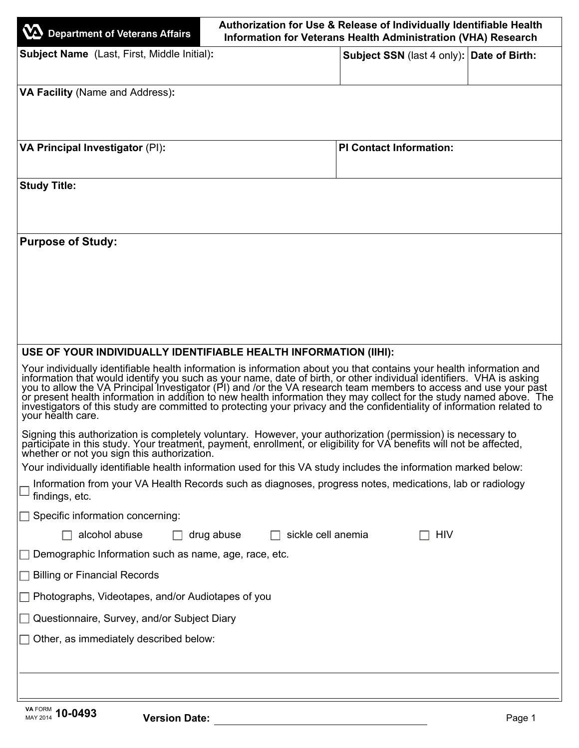| Department of Veterans Affairs                                                                                                                                                                                                                                                                                                                                                                                                                                                                                                                                                                                                  | Authorization for Use & Release of Individually Identifiable Health<br>Information for Veterans Health Administration (VHA) Research |  |
|---------------------------------------------------------------------------------------------------------------------------------------------------------------------------------------------------------------------------------------------------------------------------------------------------------------------------------------------------------------------------------------------------------------------------------------------------------------------------------------------------------------------------------------------------------------------------------------------------------------------------------|--------------------------------------------------------------------------------------------------------------------------------------|--|
| <b>Subject Name</b> (Last, First, Middle Initial):                                                                                                                                                                                                                                                                                                                                                                                                                                                                                                                                                                              | Subject SSN (last 4 only): Date of Birth:                                                                                            |  |
| VA Facility (Name and Address):                                                                                                                                                                                                                                                                                                                                                                                                                                                                                                                                                                                                 |                                                                                                                                      |  |
| VA Principal Investigator (PI):                                                                                                                                                                                                                                                                                                                                                                                                                                                                                                                                                                                                 | <b>PI Contact Information:</b>                                                                                                       |  |
| <b>Study Title:</b>                                                                                                                                                                                                                                                                                                                                                                                                                                                                                                                                                                                                             |                                                                                                                                      |  |
| <b>Purpose of Study:</b>                                                                                                                                                                                                                                                                                                                                                                                                                                                                                                                                                                                                        |                                                                                                                                      |  |
|                                                                                                                                                                                                                                                                                                                                                                                                                                                                                                                                                                                                                                 |                                                                                                                                      |  |
|                                                                                                                                                                                                                                                                                                                                                                                                                                                                                                                                                                                                                                 |                                                                                                                                      |  |
|                                                                                                                                                                                                                                                                                                                                                                                                                                                                                                                                                                                                                                 |                                                                                                                                      |  |
| USE OF YOUR INDIVIDUALLY IDENTIFIABLE HEALTH INFORMATION (IIHI):                                                                                                                                                                                                                                                                                                                                                                                                                                                                                                                                                                |                                                                                                                                      |  |
| Your individually identifiable health information is information about you that contains your health information and<br>information that would identify you such as your name, date of birth, or other individual identifiers. VHA is asking<br>you to allow the VA Principal Investigator (PI) and /or the VA research team members to access and use yo<br>or present health information in addition to new health information they may collect for the study named above. The<br>investigators of this study are committed to protecting your privacy and the confidentiality of information related to<br>vour health care. |                                                                                                                                      |  |
| Signing this authorization is completely voluntary. However, your authorization (permission) is necessary to<br>participate in this study. Your treatment, payment, enrollment, or eligibility for VA benefits will not be affected,<br>whether or not you sign this authorization.                                                                                                                                                                                                                                                                                                                                             |                                                                                                                                      |  |
| Your individually identifiable health information used for this VA study includes the information marked below:<br>Information from your VA Health Records such as diagnoses, progress notes, medications, lab or radiology                                                                                                                                                                                                                                                                                                                                                                                                     |                                                                                                                                      |  |
| findings, etc.                                                                                                                                                                                                                                                                                                                                                                                                                                                                                                                                                                                                                  |                                                                                                                                      |  |
| $\Box$ Specific information concerning:                                                                                                                                                                                                                                                                                                                                                                                                                                                                                                                                                                                         |                                                                                                                                      |  |
| alcohol abuse<br>drug abuse                                                                                                                                                                                                                                                                                                                                                                                                                                                                                                                                                                                                     | sickle cell anemia<br>HIV                                                                                                            |  |
| Demographic Information such as name, age, race, etc.                                                                                                                                                                                                                                                                                                                                                                                                                                                                                                                                                                           |                                                                                                                                      |  |
| <b>Billing or Financial Records</b>                                                                                                                                                                                                                                                                                                                                                                                                                                                                                                                                                                                             |                                                                                                                                      |  |
| Photographs, Videotapes, and/or Audiotapes of you                                                                                                                                                                                                                                                                                                                                                                                                                                                                                                                                                                               |                                                                                                                                      |  |
| Questionnaire, Survey, and/or Subject Diary                                                                                                                                                                                                                                                                                                                                                                                                                                                                                                                                                                                     |                                                                                                                                      |  |
| Other, as immediately described below:                                                                                                                                                                                                                                                                                                                                                                                                                                                                                                                                                                                          |                                                                                                                                      |  |
|                                                                                                                                                                                                                                                                                                                                                                                                                                                                                                                                                                                                                                 |                                                                                                                                      |  |
|                                                                                                                                                                                                                                                                                                                                                                                                                                                                                                                                                                                                                                 |                                                                                                                                      |  |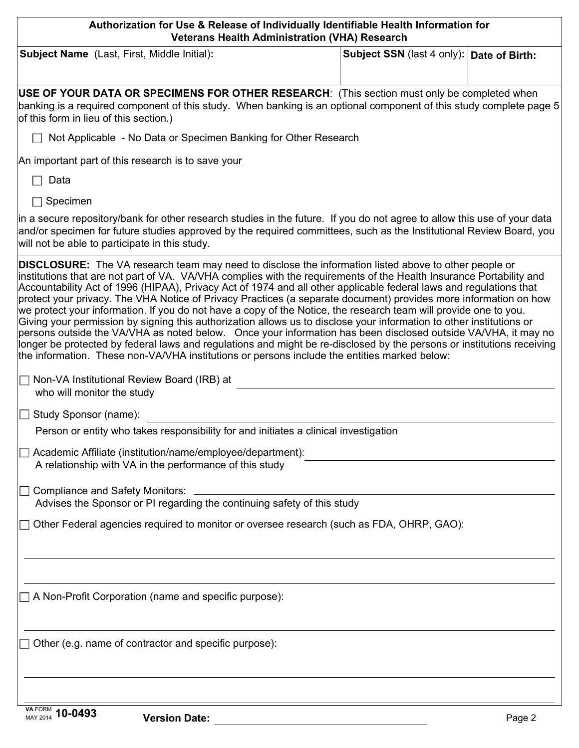| Authorization for Use & Release of Individually Identifiable Health Information for<br><b>Veterans Health Administration (VHA) Research</b> |                                                                                                                                                                                                                                                                                                                                                                                                                                                                                                                                                                                                                                                                                                                                                                                                                                                                                                                                                                                                                                                                      |                                           |  |
|---------------------------------------------------------------------------------------------------------------------------------------------|----------------------------------------------------------------------------------------------------------------------------------------------------------------------------------------------------------------------------------------------------------------------------------------------------------------------------------------------------------------------------------------------------------------------------------------------------------------------------------------------------------------------------------------------------------------------------------------------------------------------------------------------------------------------------------------------------------------------------------------------------------------------------------------------------------------------------------------------------------------------------------------------------------------------------------------------------------------------------------------------------------------------------------------------------------------------|-------------------------------------------|--|
|                                                                                                                                             | Subject Name (Last, First, Middle Initial):                                                                                                                                                                                                                                                                                                                                                                                                                                                                                                                                                                                                                                                                                                                                                                                                                                                                                                                                                                                                                          | Subject SSN (last 4 only): Date of Birth: |  |
|                                                                                                                                             | USE OF YOUR DATA OR SPECIMENS FOR OTHER RESEARCH: (This section must only be completed when<br>banking is a required component of this study. When banking is an optional component of this study complete page 5<br>of this form in lieu of this section.)                                                                                                                                                                                                                                                                                                                                                                                                                                                                                                                                                                                                                                                                                                                                                                                                          |                                           |  |
|                                                                                                                                             | Not Applicable - No Data or Specimen Banking for Other Research                                                                                                                                                                                                                                                                                                                                                                                                                                                                                                                                                                                                                                                                                                                                                                                                                                                                                                                                                                                                      |                                           |  |
|                                                                                                                                             | An important part of this research is to save your                                                                                                                                                                                                                                                                                                                                                                                                                                                                                                                                                                                                                                                                                                                                                                                                                                                                                                                                                                                                                   |                                           |  |
| Data                                                                                                                                        |                                                                                                                                                                                                                                                                                                                                                                                                                                                                                                                                                                                                                                                                                                                                                                                                                                                                                                                                                                                                                                                                      |                                           |  |
| Specimen                                                                                                                                    |                                                                                                                                                                                                                                                                                                                                                                                                                                                                                                                                                                                                                                                                                                                                                                                                                                                                                                                                                                                                                                                                      |                                           |  |
|                                                                                                                                             | in a secure repository/bank for other research studies in the future. If you do not agree to allow this use of your data<br>and/or specimen for future studies approved by the required committees, such as the Institutional Review Board, you<br>will not be able to participate in this study.                                                                                                                                                                                                                                                                                                                                                                                                                                                                                                                                                                                                                                                                                                                                                                    |                                           |  |
|                                                                                                                                             | <b>DISCLOSURE:</b> The VA research team may need to disclose the information listed above to other people or<br>institutions that are not part of VA. VA/VHA complies with the requirements of the Health Insurance Portability and<br>Accountability Act of 1996 (HIPAA), Privacy Act of 1974 and all other applicable federal laws and regulations that<br>protect your privacy. The VHA Notice of Privacy Practices (a separate document) provides more information on how<br>we protect your information. If you do not have a copy of the Notice, the research team will provide one to you.<br>Giving your permission by signing this authorization allows us to disclose your information to other institutions or<br>persons outside the VA/VHA as noted below. Once your information has been disclosed outside VA/VHA, it may no<br>longer be protected by federal laws and regulations and might be re-disclosed by the persons or institutions receiving<br>the information. These non-VA/VHA institutions or persons include the entities marked below: |                                           |  |
| who will monitor the study                                                                                                                  | $\Box$ Non-VA Institutional Review Board (IRB) at                                                                                                                                                                                                                                                                                                                                                                                                                                                                                                                                                                                                                                                                                                                                                                                                                                                                                                                                                                                                                    |                                           |  |
| $\Box$ Study Sponsor (name):                                                                                                                |                                                                                                                                                                                                                                                                                                                                                                                                                                                                                                                                                                                                                                                                                                                                                                                                                                                                                                                                                                                                                                                                      |                                           |  |
|                                                                                                                                             | Person or entity who takes responsibility for and initiates a clinical investigation                                                                                                                                                                                                                                                                                                                                                                                                                                                                                                                                                                                                                                                                                                                                                                                                                                                                                                                                                                                 |                                           |  |
|                                                                                                                                             | Academic Affiliate (institution/name/employee/department):<br>A relationship with VA in the performance of this study                                                                                                                                                                                                                                                                                                                                                                                                                                                                                                                                                                                                                                                                                                                                                                                                                                                                                                                                                |                                           |  |
|                                                                                                                                             | <b>Compliance and Safety Monitors:</b>                                                                                                                                                                                                                                                                                                                                                                                                                                                                                                                                                                                                                                                                                                                                                                                                                                                                                                                                                                                                                               |                                           |  |
|                                                                                                                                             | Advises the Sponsor or PI regarding the continuing safety of this study                                                                                                                                                                                                                                                                                                                                                                                                                                                                                                                                                                                                                                                                                                                                                                                                                                                                                                                                                                                              |                                           |  |
|                                                                                                                                             | Other Federal agencies required to monitor or oversee research (such as FDA, OHRP, GAO):                                                                                                                                                                                                                                                                                                                                                                                                                                                                                                                                                                                                                                                                                                                                                                                                                                                                                                                                                                             |                                           |  |
|                                                                                                                                             |                                                                                                                                                                                                                                                                                                                                                                                                                                                                                                                                                                                                                                                                                                                                                                                                                                                                                                                                                                                                                                                                      |                                           |  |
|                                                                                                                                             | $\Box$ A Non-Profit Corporation (name and specific purpose):                                                                                                                                                                                                                                                                                                                                                                                                                                                                                                                                                                                                                                                                                                                                                                                                                                                                                                                                                                                                         |                                           |  |
|                                                                                                                                             | $\Box$ Other (e.g. name of contractor and specific purpose):                                                                                                                                                                                                                                                                                                                                                                                                                                                                                                                                                                                                                                                                                                                                                                                                                                                                                                                                                                                                         |                                           |  |
|                                                                                                                                             |                                                                                                                                                                                                                                                                                                                                                                                                                                                                                                                                                                                                                                                                                                                                                                                                                                                                                                                                                                                                                                                                      |                                           |  |

f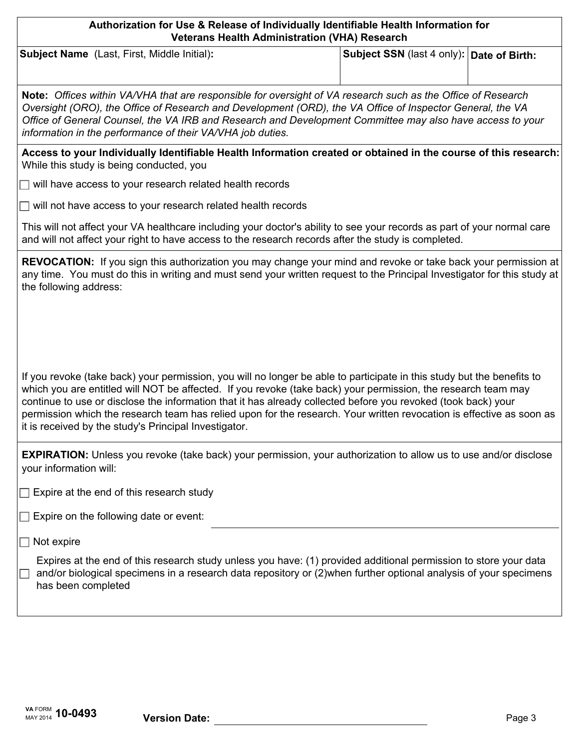| Authorization for Use & Release of Individually Identifiable Health Information for<br><b>Veterans Health Administration (VHA) Research</b>                                                                                                                                                                                                                                                                 |                                             |  |  |
|-------------------------------------------------------------------------------------------------------------------------------------------------------------------------------------------------------------------------------------------------------------------------------------------------------------------------------------------------------------------------------------------------------------|---------------------------------------------|--|--|
| <b>Subject Name</b> (Last, First, Middle Initial):                                                                                                                                                                                                                                                                                                                                                          | Subject SSN (last 4 only):   Date of Birth: |  |  |
| <b>Note:</b> Offices within VA/VHA that are responsible for oversight of VA research such as the Office of Research<br>Oversight (ORO), the Office of Research and Development (ORD), the VA Office of Inspector General, the VA<br>Office of General Counsel, the VA IRB and Research and Development Committee may also have access to your<br>information in the performance of their VA/VHA job duties. |                                             |  |  |
| Access to your Individually Identifiable Health Information created or obtained in the course of this research:<br>While this study is being conducted, you                                                                                                                                                                                                                                                 |                                             |  |  |
| $\Box$ will have access to your research related health records                                                                                                                                                                                                                                                                                                                                             |                                             |  |  |
| $\Box$ will not have access to your research related health records                                                                                                                                                                                                                                                                                                                                         |                                             |  |  |
| This will not affect your VA healthcare including your doctor's ability to see your records as part of your normal care<br>and will not affect your right to have access to the research records after the study is completed.                                                                                                                                                                              |                                             |  |  |

| REVOCATION: If you sign this authorization you may change your mind and revoke or take back your permission at           |
|--------------------------------------------------------------------------------------------------------------------------|
| any time. You must do this in writing and must send your written request to the Principal Investigator for this study at |
| the following address:                                                                                                   |

If you revoke (take back) your permission, you will no longer be able to participate in this study but the benefits to which you are entitled will NOT be affected. If you revoke (take back) your permission, the research team may continue to use or disclose the information that it has already collected before you revoked (took back) your permission which the research team has relied upon for the research. Your written revocation is effective as soon as it is received by the study's Principal Investigator.

**EXPIRATION:** Unless you revoke (take back) your permission, your authorization to allow us to use and/or disclose your information will:

 $\Box$  Expire at the end of this research study

 $\Box$  Expire on the following date or event:

 $\Box$  Not expire

Expires at the end of this research study unless you have: (1) provided additional permission to store your data  $\Box$  and/or biological specimens in a research data repository or (2)when further optional analysis of your specimens has been completed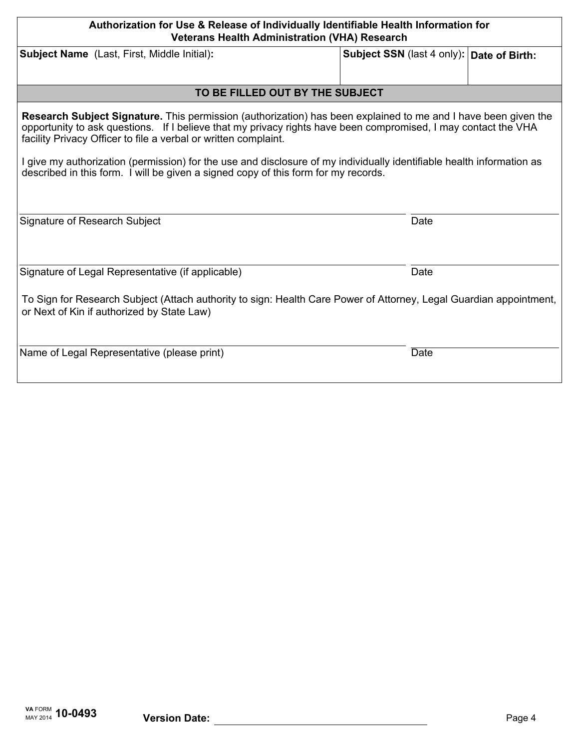| Authorization for Use & Release of Individually Identifiable Health Information for<br><b>Veterans Health Administration (VHA) Research</b>                                                                                                                                                         |                                             |  |  |
|-----------------------------------------------------------------------------------------------------------------------------------------------------------------------------------------------------------------------------------------------------------------------------------------------------|---------------------------------------------|--|--|
| <b>Subject Name</b> (Last, First, Middle Initial):                                                                                                                                                                                                                                                  | Subject SSN (last 4 only):   Date of Birth: |  |  |
|                                                                                                                                                                                                                                                                                                     |                                             |  |  |
| TO BE FILLED OUT BY THE SUBJECT                                                                                                                                                                                                                                                                     |                                             |  |  |
| Research Subject Signature. This permission (authorization) has been explained to me and I have been given the<br>opportunity to ask questions. If I believe that my privacy rights have been compromised, I may contact the VHA<br>facility Privacy Officer to file a verbal or written complaint. |                                             |  |  |
| I give my authorization (permission) for the use and disclosure of my individually identifiable health information as<br>described in this form. I will be given a signed copy of this form for my records.                                                                                         |                                             |  |  |
| Signature of Research Subject                                                                                                                                                                                                                                                                       | Date                                        |  |  |
| Signature of Legal Representative (if applicable)                                                                                                                                                                                                                                                   | Date                                        |  |  |
| To Sign for Research Subject (Attach authority to sign: Health Care Power of Attorney, Legal Guardian appointment,<br>or Next of Kin if authorized by State Law)                                                                                                                                    |                                             |  |  |
| Name of Legal Representative (please print)                                                                                                                                                                                                                                                         | Date                                        |  |  |